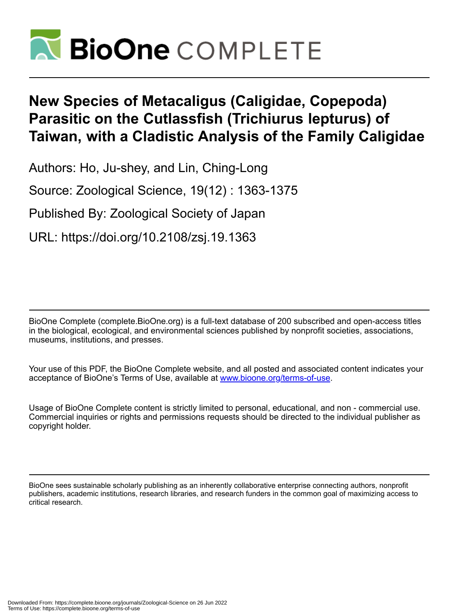

# **New Species of Metacaligus (Caligidae, Copepoda) Parasitic on the Cutlassfish (Trichiurus lepturus) of Taiwan, with a Cladistic Analysis of the Family Caligidae**

Authors: Ho, Ju-shey, and Lin, Ching-Long

Source: Zoological Science, 19(12) : 1363-1375

Published By: Zoological Society of Japan

URL: https://doi.org/10.2108/zsj.19.1363

BioOne Complete (complete.BioOne.org) is a full-text database of 200 subscribed and open-access titles in the biological, ecological, and environmental sciences published by nonprofit societies, associations, museums, institutions, and presses.

Your use of this PDF, the BioOne Complete website, and all posted and associated content indicates your acceptance of BioOne's Terms of Use, available at www.bioone.org/terms-of-use.

Usage of BioOne Complete content is strictly limited to personal, educational, and non - commercial use. Commercial inquiries or rights and permissions requests should be directed to the individual publisher as copyright holder.

BioOne sees sustainable scholarly publishing as an inherently collaborative enterprise connecting authors, nonprofit publishers, academic institutions, research libraries, and research funders in the common goal of maximizing access to critical research.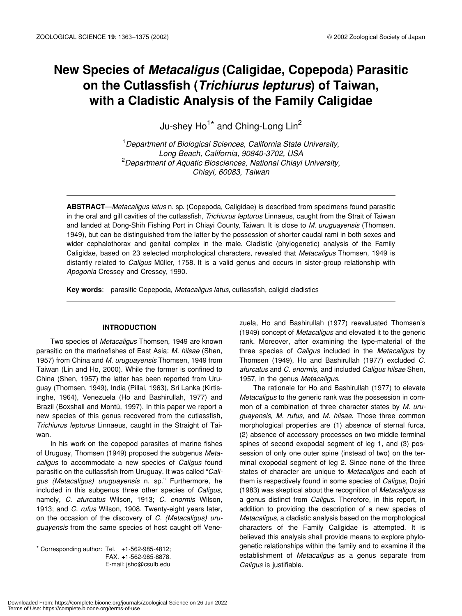# **New Species of** *Metacaligus* **(Caligidae, Copepoda) Parasitic on the Cutlassfish (***Trichiurus lepturus***) of Taiwan, with a Cladistic Analysis of the Family Caligidae**

Ju-shey Ho<sup>1\*</sup> and Ching-Long Lin<sup>2</sup>

1 *Department of Biological Sciences, California State University, Long Beach, California, 90840-3702, USA* 2 *Department of Aquatic Biosciences, National Chiayi University, Chiayi, 60083, Taiwan*

**ABSTRACT**—*Metacaligus latus* n. sp. (Copepoda, Caligidae) is described from specimens found parasitic in the oral and gill cavities of the cutlassfish, *Trichiurus lepturus* Linnaeus, caught from the Strait of Taiwan and landed at Dong-Shih Fishing Port in Chiayi County, Taiwan. It is close to *M. uruguayensis* (Thomsen, 1949), but can be distinguished from the latter by the possession of shorter caudal rami in both sexes and wider cephalothorax and genital complex in the male. Cladistic (phylogenetic) analysis of the Family Caligidae, based on 23 selected morphological characters, revealed that *Metacaligus* Thomsen, 1949 is distantly related to *Caligus* Müller, 1758. It is a valid genus and occurs in sister-group relationship with *Apogonia* Cressey and Cressey, 1990.

**Key words**: parasitic Copepoda, *Metacaligus latus*, cutlassfish, caligid cladistics

#### **INTRODUCTION**

Two species of *Metacaligus* Thomsen, 1949 are known parasitic on the marinefishes of East Asia: *M. hilsae* (Shen, 1957) from China and *M. uruguayensis* Thomsen, 1949 from Taiwan (Lin and Ho, 2000). While the former is confined to China (Shen, 1957) the latter has been reported from Uruguay (Thomsen, 1949), India (Pillai, 1963), Sri Lanka (Kirtisinghe, 1964), Venezuela (Ho and Bashirullah, 1977) and Brazil (Boxshall and Montú, 1997). In this paper we report a new species of this genus recovered from the cutlassfish, *Trichiurus lepturus* Linnaeus, caught in the Straight of Taiwan.

In his work on the copepod parasites of marine fishes of Uruguay, Thomsen (1949) proposed the subgenus *Metacaligus* to accommodate a new species of *Caligus* found parasitic on the cutlassfish from Uruguay. It was called "*Caligus (Metacaligus) uruguayensis* n. sp." Furthermore, he included in this subgenus three other species of *Caligus*, namely, *C. afurcatus* Wilson, 1913; *C. enormis* Wilson, 1913; and *C. rufus* Wilson, 1908. Twenty-eight years later, on the occasion of the discovery of *C. (Metacaligus) uruguayensis* from the same species of host caught off Vene-

 $*$  Corresponding author: Tel.  $+1-562-985-4812$ ; FAX. +1-562-985-8878. E-mail: jsho@csulb.edu zuela, Ho and Bashirullah (1977) reevaluated Thomsen's (1949) concept of *Metacaligus* and elevated it to the generic rank. Moreover, after examining the type-material of the three species of *Caligus* included in the *Metacaligus* by Thomsen (1949), Ho and Bashirullah (1977) excluded *C. afurcatus* and *C. enormis*, and included *Caligus hilsae* Shen, 1957, in the genus *Metacaligus*.

The rationale for Ho and Bashirullah (1977) to elevate *Metacaligus* to the generic rank was the possession in common of a combination of three character states by *M. uruguayensis*, *M. rufus*, and *M. hilsae*. Those three common morphological properties are (1) absence of sternal furca, (2) absence of accessory processes on two middle terminal spines of second exopodal segment of leg 1, and (3) possession of only one outer spine (instead of two) on the terminal exopodal segment of leg 2. Since none of the three states of character are unique to *Metacaligus* and each of them is respectively found in some species of *Caligus*, Dojiri (1983) was skeptical about the recognition of *Metacaligus* as a genus distinct from *Caligus*. Therefore, in this report, in addition to providing the description of a new species of *Metacaligus*, a cladistic analysis based on the morphological characters of the Family Caligidae is attempted. It is believed this analysis shall provide means to explore phylogenetic relationships within the family and to examine if the establishment of *Metacaligus* as a genus separate from *Caligus* is justifiable.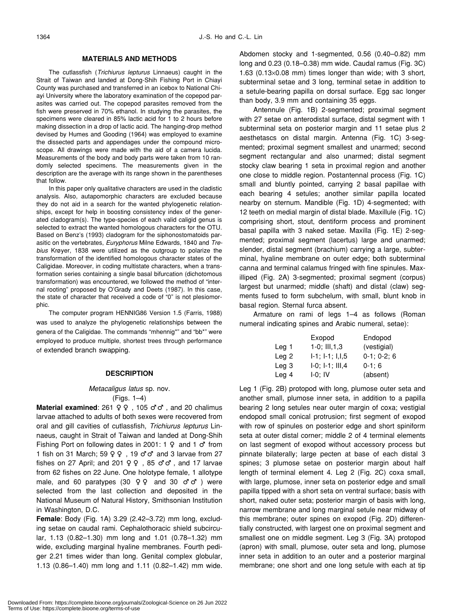## **MATERIALS AND METHODS**

The cutlassfish (*Trichiurus lepturus* Linnaeus) caught in the Strait of Taiwan and landed at Dong-Shih Fishing Port in Chiayi County was purchased and transferred in an icebox to National Chiayi University where the laboratory examination of the copepod parasites was carried out. The copepod parasites removed from the fish were preserved in 70% ethanol. In studying the parasites, the specimens were cleared in 85% lactic acid for 1 to 2 hours before making dissection in a drop of lactic acid. The hanging-drop method devised by Humes and Gooding (1964) was employed to examine the dissected parts and appendages under the compound microscope. All drawings were made with the aid of a camera lucida. Measurements of the body and body parts were taken from 10 randomly selected specimens. The measurements given in the description are the average with its range shown in the parentheses that follow.

In this paper only qualitative characters are used in the cladistic analysis. Also, autapomorphic characters are excluded because they do not aid in a search for the wanted phylogenetic relationships, except for help in boosting consistency index of the generated cladogram(s). The type-species of each valid caligid genus is selected to extract the wanted homologous characters for the OTU. Based on Benz's (1993) cladogram for the siphonostomatoids parasitic on the vertebrates, *Euryphorus* Milne Edwards, 1840 and *Trebius* Krøyer, 1838 were utilized as the outgroup to polarize the transformation of the identified homologous character states of the Caligidae. Moreover, in coding multistate characters, when a transformation series containing a single basal bifurcation (dichotomous transformation) was encountered, we followed the method of "internal rooting" proposed by O'Grady and Deets (1987). In this case, the state of character that received a code of "0" is not plesiomorphic.

The computer program HENNIG86 Version 1.5 (Farris, 1988) was used to analyze the phylogenetic relationships between the genera of the Caligidae. The commands "mhennig\*" and "bb\*" were employed to produce multiple, shortest trees through performance of extended branch swapping.

#### **DESCRIPTION**

#### *Metacaligus latus* sp. nov.

(Figs. 1–4)

**Material examined**: 261 , 105 , and 20 chalimus larvae attached to adults of both sexes were recovered from oral and gill cavities of cutlassfish, *Trichiurus lepturus* Linnaeus, caught in Strait of Taiwan and landed at Dong-Shih Fishing Port on following dates in 2001: 1 and 1 from 1 fish on 31 March; 59 . 19 and 3 larvae from 27 fishes on 27 April; and  $201$ ,  $85$ , and 17 larvae from 62 fishes on 22 June. One holotype female, 1 allotype male, and 60 paratypes (30 and 30 yere selected from the last collection and deposited in the National Museum of Natural History, Smithsonian Institution in Washington, D.C.

**Female**: Body (Fig. 1A) 3.29 (2.42–3.72) mm long, excluding setae on caudal rami. Cephalothoracic shield subcircular, 1.13 (0.82–1.30) mm long and 1.01 (0.78–1.32) mm wide, excluding marginal hyaline membranes. Fourth pediger 2.21 times wider than long. Genital complex globular, 1.13 (0.86–1.40) mm long and 1.11 (0.82–1.42) mm wide. Abdomen stocky and 1-segmented, 0.56 (0.40–0.82) mm long and 0.23 (0.18–0.38) mm wide. Caudal ramus (Fig. 3C) 1.63 (0.13×0.08 mm) times longer than wide; with 3 short, subterminal setae and 3 long, terminal setae in addition to a setule-bearing papilla on dorsal surface. Egg sac longer than body, 3.9 mm and containing 35 eggs.

Antennule (Fig. 1B) 2-segmented; proximal segment with 27 setae on anterodistal surface, distal segment with 1 subterminal seta on posterior margin and 11 setae plus 2 aesthetascs on distal margin. Antenna (Fig. 1C) 3-segmented; proximal segment smallest and unarmed; second segment rectangular and also unarmed; distal segment stocky claw bearing 1 seta in proximal region and another one close to middle region. Postantennal process (Fig. 1C) small and bluntly pointed, carrying 2 basal papillae with each bearing 4 setules; another similar papilla located nearby on sternum. Mandible (Fig. 1D) 4-segmented; with 12 teeth on medial margin of distal blade. Maxillule (Fig. 1C) comprising short, stout, dentiform process and prominent basal papilla with 3 naked setae. Maxilla (Fig. 1E) 2-segmented; proximal segment (lacertus) large and unarmed; slender, distal segment (brachium) carrying a large, subterminal, hyaline membrane on outer edge; both subterminal canna and terminal calamus fringed with fine spinules. Maxilliped (Fig. 2A) 3-segmented; proximal segment (corpus) largest but unarmed; middle (shaft) and distal (claw) segments fused to form subchelum, with small, blunt knob in basal region. Sternal furca absent.

Armature on rami of legs 1–4 as follows (Roman numeral indicating spines and Arabic numeral, setae):

|                  | Exopod                    | Endopod           |
|------------------|---------------------------|-------------------|
| Leg 1            | $1-0$ ; III, $1,3$        | (vestigial)       |
| Leg <sub>2</sub> | $I-1$ ; $I-1$ ; $I, I, 5$ | $0-1$ ; $0-2$ ; 6 |
| Leg <sub>3</sub> | $I-0$ ; $I-1$ ; $III,4$   | $0-1; 6$          |
| Leg 4            | $I-0$ ; IV                | (absent)          |

Leg 1 (Fig. 2B) protopod with long, plumose outer seta and another small, plumose inner seta, in addition to a papilla bearing 2 long setules near outer margin of coxa; vestigial endopod small conical protrusion; first segment of exopod with row of spinules on posterior edge and short spiniform seta at outer distal corner; middle 2 of 4 terminal elements on last segment of exopod without accessory process but pinnate bilaterally; large pecten at base of each distal 3 spines; 3 plumose setae on posterior margin about half length of terminal element 4. Leg 2 (Fig. 2C) coxa small, with large, plumose, inner seta on posterior edge and small papilla tipped with a short seta on ventral surface; basis with short, naked outer seta; posterior margin of basis with long, narrow membrane and long marginal setule near midway of this membrane; outer spines on exopod (Fig. 2D) differentially constructed, with largest one on proximal segment and smallest one on middle segment. Leg 3 (Fig. 3A) protopod (apron) with small, plumose, outer seta and long, plumose inner seta in addition to an outer and a posterior marginal membrane; one short and one long setule with each at tip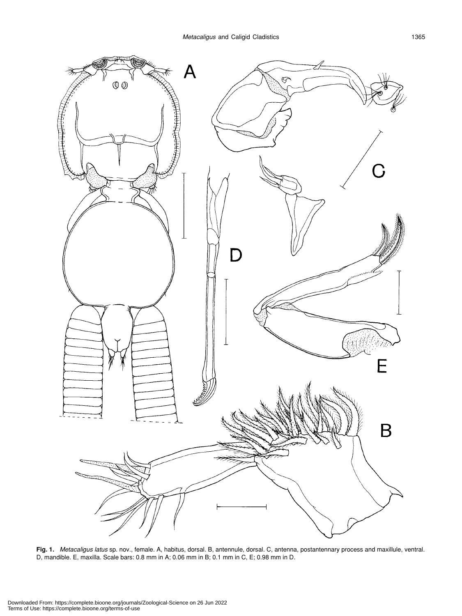

**Fig. 1.** *Metacaligus latus* sp. nov., female. A, habitus, dorsal. B, antennule, dorsal. C, antenna, postantennary process and maxillule, ventral. D, mandible. E, maxilla. Scale bars: 0.8 mm in A; 0.06 mm in B; 0.1 mm in C, E; 0.98 mm in D.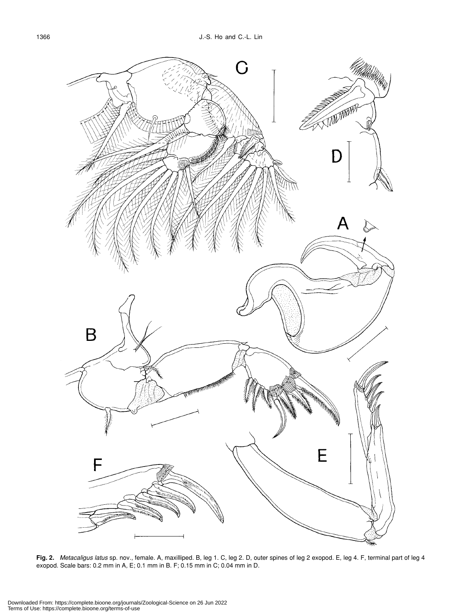

**Fig. 2.** *Metacaligus latus* sp. nov., female. A, maxilliped. B, leg 1. C, leg 2. D, outer spines of leg 2 exopod. E, leg 4. F, terminal part of leg 4 exopod. Scale bars: 0.2 mm in A, E; 0.1 mm in B. F; 0.15 mm in C; 0.04 mm in D.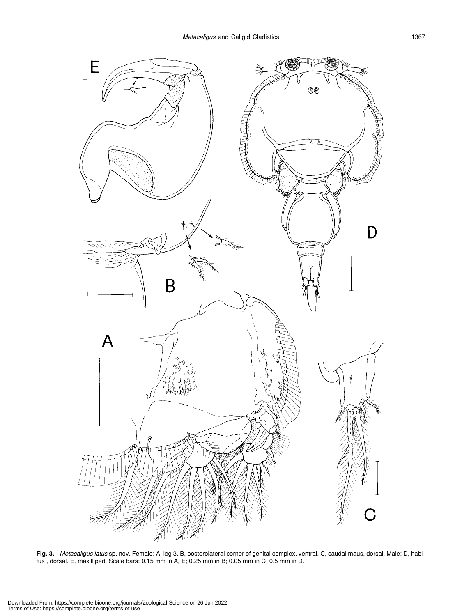

**Fig. 3.** *Metacaligus latus* sp. nov. Female: A, leg 3. B, posterolateral corner of genital complex, ventral. C, caudal maus, dorsal. Male: D, habitus , dorsal. E, maxilliped. Scale bars: 0.15 mm in A, E; 0.25 mm in B; 0.05 mm in C; 0.5 mm in D.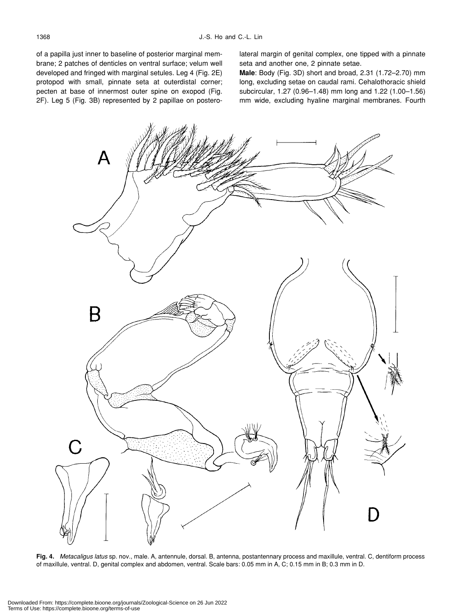of a papilla just inner to baseline of posterior marginal membrane; 2 patches of denticles on ventral surface; velum well developed and fringed with marginal setules. Leg 4 (Fig. 2E) protopod with small, pinnate seta at outerdistal corner; pecten at base of innermost outer spine on exopod (Fig. 2F). Leg 5 (Fig. 3B) represented by 2 papillae on posterolateral margin of genital complex, one tipped with a pinnate seta and another one, 2 pinnate setae.

**Male**: Body (Fig. 3D) short and broad, 2.31 (1.72–2.70) mm long, excluding setae on caudal rami. Cehalothoracic shield subcircular, 1.27 (0.96–1.48) mm long and 1.22 (1.00–1.56) mm wide, excluding hyaline marginal membranes. Fourth



**Fig. 4.** *Metacaligus latus* sp. nov., male. A, antennule, dorsal. B, antenna, postantennary process and maxillule, ventral. C, dentiform process of maxillule, ventral. D, genital complex and abdomen, ventral. Scale bars: 0.05 mm in A, C; 0.15 mm in B; 0.3 mm in D.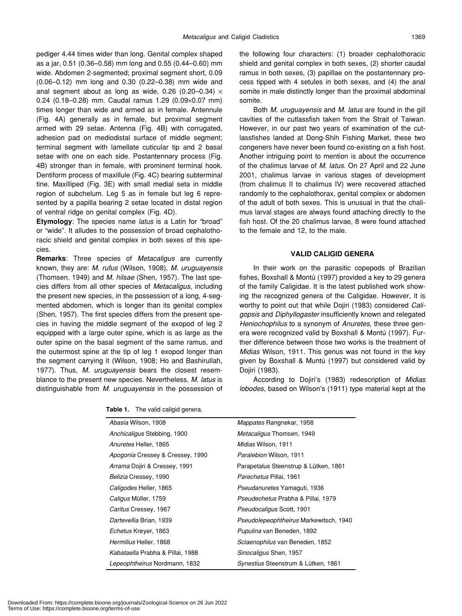pediger 4.44 times wider than long. Genital complex shaped as a jar, 0.51 (0.36–0.58) mm long and 0.55 (0.44–0.60) mm wide. Abdomen 2-segmented; proximal segment short, 0.09 (0.06–0.12) mm long and 0.30 (0.22–0.38) mm wide and anal segment about as long as wide, 0.26 (0.20-0.34)  $\times$ 0.24 (0.18–0.28) mm. Caudal ramus 1.29 (0.09×0.07 mm) times longer than wide and armed as in female. Antennule (Fig. 4A) generally as in female, but proximal segment armed with 29 setae. Antenna (Fig. 4B) with corrugated, adhesion pad on mediodistal surface of middle segment; terminal segment with lamellate cuticular tip and 2 basal setae with one on each side. Postantennary process (Fig. 4B) stronger than in female, with prominent terminal hook. Dentiform process of maxillule (Fig. 4C) bearing subterminal tine. Maxilliped (Fig. 3E) with small medial seta in middle region of subchelum. Leg 5 as in female but leg 6 represented by a papilla bearing 2 setae located in distal region of ventral ridge on genital complex (Fig. 4D).

**Etymology**: The species name *latus* is a Latin for "broad" or "wide". It alludes to the possession of broad cephalothoracic shield and genital complex in both sexes of this species.

**Remarks**: Three species of *Metacaligus* are currently known, they are: *M. rufus* (Wilson, 1908), *M. uruguayensis* (Thomsen, 1949) and *M. hilsae* (Shen, 1957). The last species differs from all other species of *Metacaligus*, including the present new species, in the possession of a long, 4-segmented abdomen, which is longer than its genital complex (Shen, 1957). The first species differs from the present species in having the middle segment of the exopod of leg 2 equipped with a large outer spine, which is as large as the outer spine on the basal segment of the same ramus, and the outermost spine at the tip of leg 1 exopod longer than the segment carrying it (Wilson, 1908; Ho and Bashirullah, 1977). Thus, *M. uruguayensis* bears the closest resemblance to the present new species. Nevertheless, *M. latus* is distinguishable from *M. uruguayensis* in the possession of the following four characters: (1) broader cephalothoracic shield and genital complex in both sexes, (2) shorter caudal ramus in both sexes, (3) papillae on the postantennary process tipped with 4 setules in both sexes, and (4) the anal somite in male distinctly longer than the proximal abdominal somite.

Both *M. uruguayensis* and *M. latus* are found in the gill cavities of the cutlassfish taken from the Strait of Taiwan. However, in our past two years of examination of the cutlassfishes landed at Dong-Shih Fishing Market, these two congeners have never been found co-existing on a fish host. Another intriguing point to mention is about the occurrence of the chalimus larvae of *M. latus*. On 27 April and 22 June 2001, chalimus larvae in various stages of development (from chalimus II to chalimus IV) were recovered attached randomly to the cephalothorax, genital complex or abdomen of the adult of both sexes. This is unusual in that the chalimus larval stages are always found attaching directly to the fish host. Of the 20 chalimus larvae, 8 were found attached to the female and 12, to the male.

#### **VALID CALIGID GENERA**

In their work on the parasitic copepods of Brazilian fishes, Boxshall & Montú (1997) provided a key to 29 genera of the family Caligidae. It is the latest published work showing the recognized genera of the Caligidae. However, it is worthy to point out that while Dojiri (1983) considered *Caligopsis* and *Diphyllogaster* insufficiently known and relegated *Heniochophilus* to a synonym of *Anuretes*, these three genera were recognized valid by Boxshall & Montú (1997). Further difference between those two works is the treatment of *Midias* Wilson, 1911. This genus was not found in the key given by Boxshall & Muntú (1997) but considered valid by Dojiri (1983).

According to Dojiri's (1983) redescription of *Midias lobodes*, based on Wilson's (1911) type material kept at the

| Abasia Wilson, 1908              | <i>Mappates</i> Rangnekar, 1958           |  |  |
|----------------------------------|-------------------------------------------|--|--|
| Anchicaligus Stebbing, 1900      | Metacaligus Thomsen, 1949                 |  |  |
| Anuretes Heller, 1865            | Midias Wilson, 1911                       |  |  |
| Apogonia Cressey & Cressey, 1990 | Paralebion Wilson, 1911                   |  |  |
| Arrama Dojiri & Cressey, 1991    | Parapetalus Steenstrup & Lütken, 1861     |  |  |
| Belizia Cressey, 1990            | Parechetus Pillai, 1961                   |  |  |
| Caligodes Heller, 1865           | <i>Pseudanuretes</i> Yamaguti, 1936       |  |  |
| Caligus Müller, 1759             | <i>Pseudechetus</i> Prabha & Pillai, 1979 |  |  |
| Caritus Cressey, 1967            | <i>Pseudocaligus</i> Scott, 1901          |  |  |
| Dartevellia Brian, 1939          | Pseudolepeophtheirus Markewitsch, 1940    |  |  |
| Echetus Krøyer, 1863             | Pupulina van Beneden, 1892                |  |  |
| Hermilius Heller, 1868           | Sciaenophilus van Beneden, 1852           |  |  |
| Kabataella Prabha & Pillai, 1988 | Sinocaligus Shen, 1957                    |  |  |
| Lepeophtheirus Nordmann, 1832    | Synestius Steenstrum & Lütken, 1861       |  |  |

Table 1. The valid caligid genera.

Downloaded From: https://complete.bioone.org/journals/Zoological-Science on 26 Jun 2022 Terms of Use: https://complete.bioone.org/terms-of-use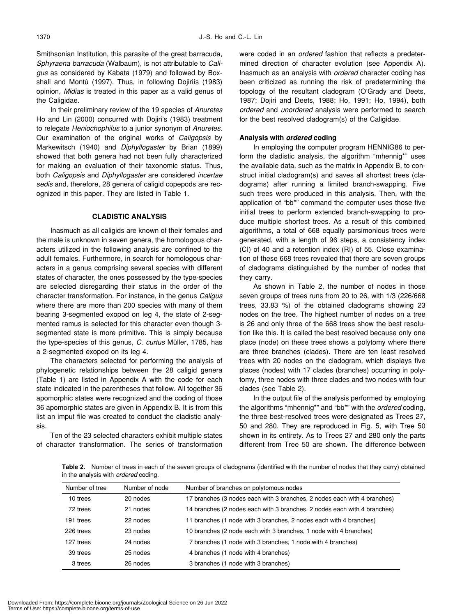Smithsonian Institution, this parasite of the great barracuda, *Sphyraena barracuda* (Walbaum), is not attributable to *Caligus* as considered by Kabata (1979) and followed by Boxshall and Montú (1997). Thus, in following Dojiriís (1983) opinion, *Midias* is treated in this paper as a valid genus of the Caligidae.

In their preliminary review of the 19 species of *Anuretes* Ho and Lin (2000) concurred with Dojiri's (1983) treatment to relegate *Heniochophilus* to a junior synonym of *Anuretes*. Our examination of the original works of *Caligopsis* by Markewitsch (1940) and *Diphyllogaster* by Brian (1899) showed that both genera had not been fully characterized for making an evaluation of their taxonomic status. Thus, both *Caligopsis* and *Diphyllogaster* are considered *incertae sedis* and, therefore, 28 genera of caligid copepods are recognized in this paper. They are listed in Table 1.

### **CLADISTIC ANALYSIS**

Inasmuch as all caligids are known of their females and the male is unknown in seven genera, the homologous characters utilized in the following analysis are confined to the adult females. Furthermore, in search for homologous characters in a genus comprising several species with different states of character, the ones possessed by the type-species are selected disregarding their status in the order of the character transformation. For instance, in the genus *Caligus* where there are more than 200 species with many of them bearing 3-segmented exopod on leg 4, the state of 2-segmented ramus is selected for this character even though 3 segmented state is more primitive. This is simply because the type-species of this genus, *C. curtus* Müller, 1785, has a 2-segmented exopod on its leg 4.

The characters selected for performing the analysis of phylogenetic relationships between the 28 caligid genera (Table 1) are listed in Appendix A with the code for each state indicated in the parentheses that follow. All together 36 apomorphic states were recognized and the coding of those 36 apomorphic states are given in Appendix B. It is from this list an imput file was created to conduct the cladistic analysis.

Ten of the 23 selected characters exhibit multiple states of character transformation. The series of transformation were coded in an *ordered* fashion that reflects a predetermined direction of character evolution (see Appendix A). Inasmuch as an analysis with *ordered* character coding has been criticized as running the risk of predetermining the topology of the resultant cladogram (O'Grady and Deets, 1987; Dojiri and Deets, 1988; Ho, 1991; Ho, 1994), both *ordered* and *unordered* analysis were performed to search for the best resolved cladogram(s) of the Caligidae.

#### **Analysis with** *ordered* **coding**

In employing the computer program HENNIG86 to perform the cladistic analysis, the algorithm "mhennig\*" uses the available data, such as the matrix in Appendix B, to construct initial cladogram(s) and saves all shortest trees (cladograms) after running a limited branch-swapping. Five such trees were produced in this analysis. Then, with the application of "bb\*" command the computer uses those five initial trees to perform extended branch-swapping to produce multiple shortest trees. As a result of this combined algorithms, a total of 668 equally parsimonious trees were generated, with a length of 96 steps, a consistency index (CI) of 40 and a retention index (RI) of 55. Close examination of these 668 trees revealed that there are seven groups of cladograms distinguished by the number of nodes that they carry.

As shown in Table 2, the number of nodes in those seven groups of trees runs from 20 to 26, with 1/3 (226/668 trees, 33.83 %) of the obtained cladograms showing 23 nodes on the tree. The highest number of nodes on a tree is 26 and only three of the 668 trees show the best resolution like this. It is called the best resolved because only one place (node) on these trees shows a polytomy where there are three branches (clades). There are ten least resolved trees with 20 nodes on the cladogram, which displays five places (nodes) with 17 clades (branches) occurring in polytomy, three nodes with three clades and two nodes with four clades (see Table 2).

In the output file of the analysis performed by employing the algorithms "mhennig\*" and "bb\*" with the *ordered* coding, the three best-resolved trees were designated as Trees 27, 50 and 280. They are reproduced in Fig. 5, with Tree 50 shown in its entirety. As to Trees 27 and 280 only the parts different from Tree 50 are shown. The difference between

**Table 2.** Number of trees in each of the seven groups of cladograms (identified with the number of nodes that they carry) obtained in the analysis with *ordered* coding.

| Number of tree | Number of node | Number of branches on polytomous nodes                                   |
|----------------|----------------|--------------------------------------------------------------------------|
| 10 trees       | 20 nodes       | 17 branches (3 nodes each with 3 branches, 2 nodes each with 4 branches) |
| 72 trees       | 21 nodes       | 14 branches (2 nodes each with 3 branches, 2 nodes each with 4 branches) |
| 191 trees      | 22 nodes       | 11 branches (1 node with 3 branches, 2 nodes each with 4 branches)       |
| 226 trees      | 23 nodes       | 10 branches (2 node each with 3 branches, 1 node with 4 branches)        |
| 127 trees      | 24 nodes       | 7 branches (1 node with 3 branches, 1 node with 4 branches)              |
| 39 trees       | 25 nodes       | 4 branches (1 node with 4 branches)                                      |
| 3 trees        | 26 nodes       | 3 branches (1 node with 3 branches)                                      |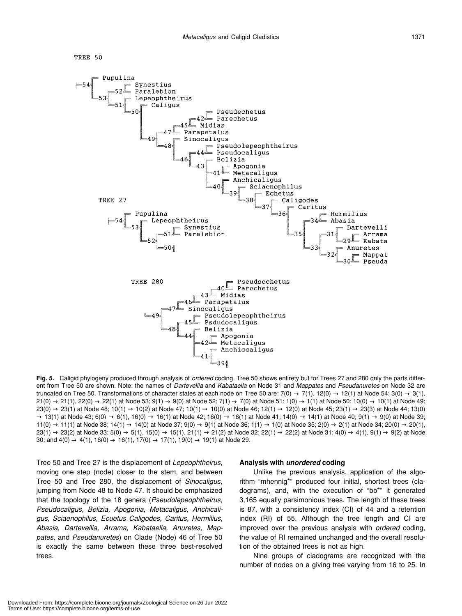



**Fig. 5.** Caligid phylogeny produced through analysis of *ordered* coding. Tree 50 shows entirety but for Trees 27 and 280 only the parts different from Tree 50 are shown. Note: the names of *Dartevellia* and *Kabataella* on Node 31 and *Mappates* and *Pseudanuretes* on Node 32 are truncated on Tree 50. Transformations of character states at each node on Tree 50 are:  $7(0)$   $7(1)$ ,  $12(0)$   $12(1)$  at Node 54;  $3(0)$   $3(1)$ , 21(0) 21(1), 22(0) 22(1) at Node 53; 9(1) 9(0) at Node 52; 7(1) 7(0) at Node 51; 1(0) 1(1) at Node 50; 10(0) 10(1) at Node 49; 23(0) 23(1) at Node 48; 10(1) 10(2) at Node 47; 10(1) 10(0) at Node 46; 12(1) 12(0) at Node 45; 23(1) 23(3) at Node 44; 13(0) 13(1) at Node 43; 6(0) 6(1), 16(0) 16(1) at Node 42; 16(0) 16(1) at Node 41; 14(0) 14(1) at Node 40; 9(1) 9(0) at Node 39; 11(0) 11(1) at Node 38; 14(1) 14(0) at Node 37; 9(0) 9(1) at Node 36; 1(1) 1(0) at Node 35; 2(0) 2(1) at Node 34; 20(0) 20(1), 23(1) 23(2) at Node 33; 5(0) 5(1), 15(0) 15(1), 21(1) 21(2) at Node 32; 22(1) 22(2) at Node 31; 4(0) 4(1), 9(1) 9(2) at Node 30; and 4(0) 4(1), 16(0) 16(1), 17(0) 17(1), 19(0) 19(1) at Node 29.

Tree 50 and Tree 27 is the displacement of *Lepeophtheirus*, moving one step (node) closer to the stem, and between Tree 50 and Tree 280, the displacement of *Sinocaligus*, jumping from Node 48 to Node 47. It should be emphasized that the topology of the 18 genera (*Pseudolepeophtheirus, Pseudocaligus, Belizia, Apogonia, Metacaligus, Anchicaligus, Sciaenophilus, Ecuetus Caligodes, Caritus, Hermilius, Abasia, Dartevellia, Arrama, Kabataella, Anuretes, Mappates,* and *Pseudanuretes*) on Clade (Node) 46 of Tree 50 is exactly the same between these three best-resolved trees.

#### **Analysis with** *unordered* **coding**

Unlike the previous analysis, application of the algorithm "mhennig\*" produced four initial, shortest trees (cladograms), and, with the execution of "bb\*" it generated 3,165 equally parsimonious trees. The length of these trees is 87, with a consistency index (CI) of 44 and a retention index (RI) of 55. Although the tree length and CI are improved over the previous analysis with *ordered* coding, the value of RI remained unchanged and the overall resolution of the obtained trees is not as high.

Nine groups of cladograms are recognized with the number of nodes on a giving tree varying from 16 to 25. In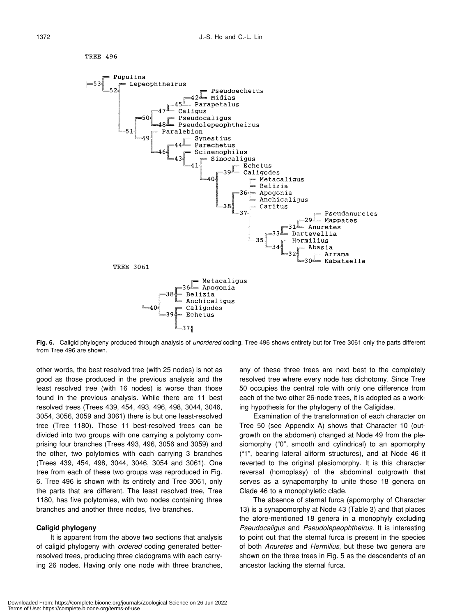

**Fig. 6.** Caligid phylogeny produced through analysis of *unordered* coding. Tree 496 shows entirety but for Tree 3061 only the parts different from Tree 496 are shown.

other words, the best resolved tree (with 25 nodes) is not as good as those produced in the previous analysis and the least resolved tree (with 16 nodes) is worse than those found in the previous analysis. While there are 11 best resolved trees (Trees 439, 454, 493, 496, 498, 3044, 3046, 3054, 3056, 3059 and 3061) there is but one least-resolved tree (Tree 1180). Those 11 best-resolved trees can be divided into two groups with one carrying a polytomy comprising four branches (Trees 493, 496, 3056 and 3059) and the other, two polytomies with each carrying 3 branches (Trees 439, 454, 498, 3044, 3046, 3054 and 3061). One tree from each of these two groups was reproduced in Fig. 6. Tree 496 is shown with its entirety and Tree 3061, only the parts that are different. The least resolved tree, Tree 1180, has five polytomies, with two nodes containing three branches and another three nodes, five branches.

#### **Caligid phylogeny**

It is apparent from the above two sections that analysis of caligid phylogeny with *ordered* coding generated betterresolved trees, producing three cladograms with each carrying 26 nodes. Having only one node with three branches, any of these three trees are next best to the completely resolved tree where every node has dichotomy. Since Tree 50 occupies the central role with only one difference from each of the two other 26-node trees, it is adopted as a working hypothesis for the phylogeny of the Caligidae.

Examination of the transformation of each character on Tree 50 (see Appendix A) shows that Character 10 (outgrowth on the abdomen) changed at Node 49 from the plesiomorphy ("0", smooth and cylindrical) to an apomorphy ("1", bearing lateral aliform structures), and at Node 46 it reverted to the original plesiomorphy. It is this character reversal (homoplasy) of the abdominal outgrowth that serves as a synapomorphy to unite those 18 genera on Clade 46 to a monophyletic clade.

The absence of sternal furca (apomorphy of Character 13) is a synapomorphy at Node 43 (Table 3) and that places the afore-mentioned 18 genera in a monophyly excluding *Pseudocaligus* and *Pseudolepeophtheirus*. It is interesting to point out that the sternal furca is present in the species of both *Anuretes* and *Hermilius*, but these two genera are shown on the three trees in Fig. 5 as the descendents of an ancestor lacking the sternal furca.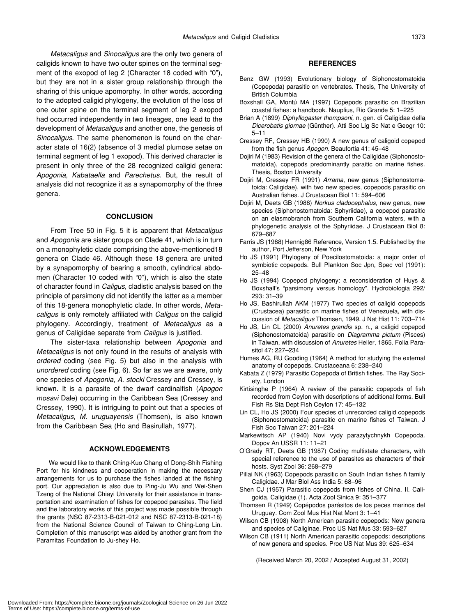*Metacaligus* and *Sinocaligus* are the only two genera of caligids known to have two outer spines on the terminal segment of the exopod of leg 2 (Character 18 coded with "0"), but they are not in a sister group relationship through the sharing of this unique apomorphy. In other words, according to the adopted caligid phylogeny, the evolution of the loss of one outer spine on the terminal segment of leg 2 exopod had occurred independently in two lineages, one lead to the development of *Metacaligus* and another one, the genesis of *Sinocaligus*. The same phenomenon is found on the character state of 16(2) (absence of 3 medial plumose setae on terminal segment of leg 1 exopod). This derived character is present in only three of the 28 recognized caligid genera: *Apogonia, Kabataella* and *Parechetus*. But, the result of analysis did not recognize it as a synapomorphy of the three genera.

#### **CONCLUSION**

From Tree 50 in Fig. 5 it is apparent that *Metacaligus* and *Apogonia* are sister groups on Clade 41, which is in turn on a monophyletic clade comprising the above-mentioned18 genera on Clade 46. Although these 18 genera are united by a synapomorphy of bearing a smooth, cylindrical abdomen (Character 10 coded with "0"), which is also the state of character found in *Caligus*, cladistic analysis based on the principle of parsimony did not identify the latter as a member of this 18-genera monophyletic clade. In other words, *Metacaligus* is only remotely affiliated with *Caligus* on the caligid phylogeny. Accordingly, treatment of *Metacaligus* as a genus of Caligidae separate from *Caligus* is justified.

The sister-taxa relationship between *Apogonia* and *Metacaligus* is not only found in the results of analysis with *ordered* coding (see Fig. 5) but also in the analysis with *unordered* coding (see Fig. 6). So far as we are aware, only one species of *Apogonia*, *A. stocki* Cressey and Cressey, is known. It is a parasite of the dwarf cardinalfish (*Apogon mosavi* Dale) occurring in the Caribbean Sea (Cressey and Cressey, 1990). It is intriguing to point out that a species of *Metacaligus*, *M. uruguayensis* (Thomsen), is also known from the Caribbean Sea (Ho and Basirullah, 1977).

#### **ACKNOWLEDGEMENTS**

We would like to thank Ching-Kuo Chang of Dong-Shih Fishing Port for his kindness and cooperation in making the necessary arrangements for us to purchase the fishes landed at the fishing port. Our appreciation is also due to Ping-Ju Wu and Wei-Shen Tzeng of the National Chiayi University for their assistance in transportation and examination of fishes for copepod parasites. The field and the laboratory works of this project was made possible through the grants (NSC 87-2313-B-021-012 and NSC 87-2313-B-021-18) from the National Science Council of Taiwan to Ching-Long Lin. Completion of this manuscript was aided by another grant from the Paramitas Foundation to Ju-shey Ho.

#### **REFERENCES**

- Benz GW (1993) Evolutionary biology of Siphonostomatoida (Copepoda) parasitic on vertebrates. Thesis, The University of British Columbia
- Boxshall GA, Montú MA (1997) Copepods parasitic on Brazilian coastal fishes: a handbook. Nauplius, Rio Grande 5: 1–225
- Brian A (1899) *Diphyllogaster thompsoni*, n. gen. di Caligidae della *Dicerobatis giornae* (Günther). Atti Soc Lig Sc Nat e Geogr 10: 5–11
- Cressey RF, Cressey HB (1990) A new genus of caligoid copepod from the fish genus *Apogon*. Beaufortia 41: 45–48
- Dojiri M (1983) Revision of the genera of the Caligidae (Siphonostomatoida), copepods predominantly paraitic on marine fishes. Thesis, Boston University
- Dojiri M, Cressey FR (1991) *Arrama*, new genus (Siphonostomatoida: Caligidae), with two new species, copepods parasitic on Australian fishes. J Crustacean Biol 11: 594–606
- Dojiri M, Deets GB (1988) *Norkus cladocephalus*, new genus, new species (Siphonostomatoida: Sphyriidae), a copepod parasitic on an elasmobranch from Southern California waters, with a phylogenetic analysis of the Sphyriidae. J Crustacean Biol 8: 679–687
- Farris JS (1988) Hennig86 Reference, Version 1.5. Published by the author, Port Jefferson, New York
- Ho JS (1991) Phylogeny of Poecilostomatoida: a major order of symbiotic copepods. Bull Plankton Soc Jpn, Spec vol (1991): 25–48
- Ho JS (1994) Copepod phylogeny: a reconsideration of Huys & Boxshall's "parsimony versus homology". Hydrobiologia 292/ 293: 31–39
- Ho JS, Bashirullah AKM (1977) Two species of caligid copepods (Crustacea) parasitic on marine fishes of Venezuela, with discussion of *Metacaligus* Thomsen, 1949. J Nat Hist 11: 703–714
- Ho JS, Lin CL (2000) *Anuretes grandis* sp. n., a caligid copepod (Siphonostomatoida) parasitic on *Diagramma pictum* (Pisces) in Taiwan, with discussion of *Anuretes* Heller, 1865. Folia Parasitol 47: 227–234
- Humes AG, RU Gooding (1964) A method for studying the external anatomy of copepods. Crustaceana 6: 238–240
- Kabata Z (1979) Parasitic Copepoda of British fishes. The Ray Society, London
- Kirtisinghe P (1964) A review of the parasitic copepods of fish recorded from Ceylon with descriptions of additional forms. Bull Fish Rs Sta Dept Fish Ceylon 17: 45–132
- Lin CL, Ho JS (2000) Four species of unrecorded caligid copepods (Siphonostomatoida) parasitic on marine fishes of Taiwan. J Fish Soc Taiwan 27: 201–224
- Markewitsch AP (1940) Novi vydy parazytychnykh Copepoda. Dopov An USSR 11: 11–21
- O'Grady RT, Deets GB (1987) Coding multistate characters, with special reference to the use of parasites as characters of their hosts. Syst Zool 36: 268–279
- Pillai NK (1963) Copepods parasitic on South Indian fishes ñ family Caligidae. J Mar Biol Ass India 5: 68–96
- Shen CJ (1957) Parasitic copepods from fishes of China. II. Caligoida, Caligidae (1). Acta Zool Sinica 9: 351–377
- Thomsen R (1949) Copépodos parásitos de los peces marinos del Uruguay. Com Zool Mus Hist Nat Mont 3: 1–41
- Wilson CB (1908) North American parasitic copepods: New genera and species of Caliginae. Proc US Nat Mus 33: 593–627
- Wilson CB (1911) North American parasitic copepods: descriptions of new genera and species. Proc US Nat Mus 39: 625–634

(Received March 20, 2002 / Accepted August 31, 2002)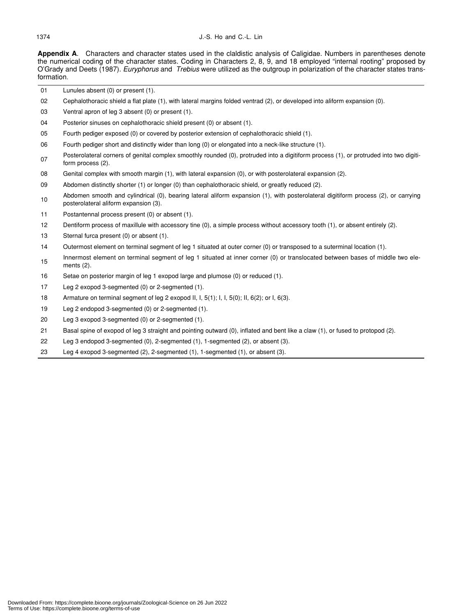#### 1374 J.-S. Ho and C.-L. Lin

**Appendix A**. Characters and character states used in the claldistic analysis of Caligidae. Numbers in parentheses denote the numerical coding of the character states. Coding in Characters 2, 8, 9, and 18 employed "internal rooting" proposed by O'Grady and Deets (1987). *Euryphorus* and *Trebius* were utilized as the outgroup in polarization of the character states transformation.

- 01 Lunules absent (0) or present (1).
- 02 Cephalothoracic shield a flat plate (1), with lateral margins folded ventrad (2), or developed into aliform expansion (0).
- 03 Ventral apron of leg 3 absent (0) or present (1).
- 04 Posterior sinuses on cephalothoracic shield present (0) or absent (1).
- 05 Fourth pediger exposed (0) or covered by posterior extension of cephalothoracic shield (1).
- 06 Fourth pediger short and distinctly wider than long (0) or elongated into a neck-like structure (1).
- Posterolateral corners of genital complex smoothly rounded (0), protruded into a digitiform process (1), or protruded into two digitiform process (2).
- 08 Genital complex with smooth margin (1), with lateral expansion (0), or with posterolateral expansion (2).
- 09 Abdomen distinctly shorter (1) or longer (0) than cephalothoracic shield, or greatly reduced (2).
- 10 Abdomen smooth and cylindrical (0), bearing lateral aliform expansion (1), with posterolateral digitiform process (2), or carrying posterolateral aliform expansion (3).
- 11 Postantennal process present (0) or absent (1).
- 12 Dentiform process of maxillule with accessory tine (0), a simple process without accessory tooth (1), or absent entirely (2).
- 13 Sternal furca present (0) or absent (1).
- 14 Outermost element on terminal segment of leg 1 situated at outer corner (0) or transposed to a suterminal location (1).
- Innermost element on terminal segment of leg 1 situated at inner corner (0) or translocated between bases of middle two elements (2).
- 16 Setae on posterior margin of leg 1 exopod large and plumose (0) or reduced (1).
- 17 Leg 2 exopod 3-segmented (0) or 2-segmented (1).
- 18 Armature on terminal segment of leg 2 exopod II, I, 5(1); I, I, 5(0); II, 6(2); or I, 6(3).
- 19 Leg 2 endopod 3-segmented (0) or 2-segmented (1).
- 20 Leg 3 exopod 3-segmented (0) or 2-segmented (1).
- 21 Basal spine of exopod of leg 3 straight and pointing outward (0), inflated and bent like a claw (1), or fused to protopod (2).
- 22 Leg 3 endopod 3-segmented (0), 2-segmented (1), 1-segmented (2), or absent (3).
- 23 Leg 4 exopod 3-segmented (2), 2-segmented (1), 1-segmented (1), or absent (3).